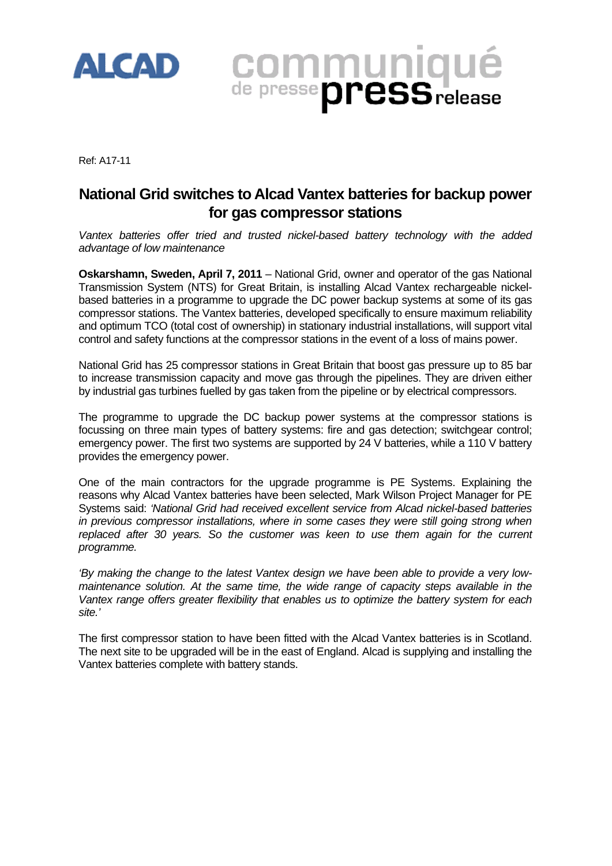

Ref: A17-11

## **National Grid switches to Alcad Vantex batteries for backup power for gas compressor stations**

**COMMUNIQUÉ** 

*Vantex batteries offer tried and trusted nickel-based battery technology with the added advantage of low maintenance* 

**Oskarshamn, Sweden, April 7, 2011** – National Grid, owner and operator of the gas National Transmission System (NTS) for Great Britain, is installing Alcad Vantex rechargeable nickelbased batteries in a programme to upgrade the DC power backup systems at some of its gas compressor stations. The Vantex batteries, developed specifically to ensure maximum reliability and optimum TCO (total cost of ownership) in stationary industrial installations, will support vital control and safety functions at the compressor stations in the event of a loss of mains power.

National Grid has 25 compressor stations in Great Britain that boost gas pressure up to 85 bar to increase transmission capacity and move gas through the pipelines. They are driven either by industrial gas turbines fuelled by gas taken from the pipeline or by electrical compressors.

The programme to upgrade the DC backup power systems at the compressor stations is focussing on three main types of battery systems: fire and gas detection; switchgear control; emergency power. The first two systems are supported by 24 V batteries, while a 110 V battery provides the emergency power.

One of the main contractors for the upgrade programme is PE Systems. Explaining the reasons why Alcad Vantex batteries have been selected, Mark Wilson Project Manager for PE Systems said: *'National Grid had received excellent service from Alcad nickel-based batteries in previous compressor installations, where in some cases they were still going strong when*  replaced after 30 years. So the customer was keen to use them again for the current *programme.* 

*'By making the change to the latest Vantex design we have been able to provide a very lowmaintenance solution. At the same time, the wide range of capacity steps available in the Vantex range offers greater flexibility that enables us to optimize the battery system for each site.'* 

The first compressor station to have been fitted with the Alcad Vantex batteries is in Scotland. The next site to be upgraded will be in the east of England. Alcad is supplying and installing the Vantex batteries complete with battery stands.